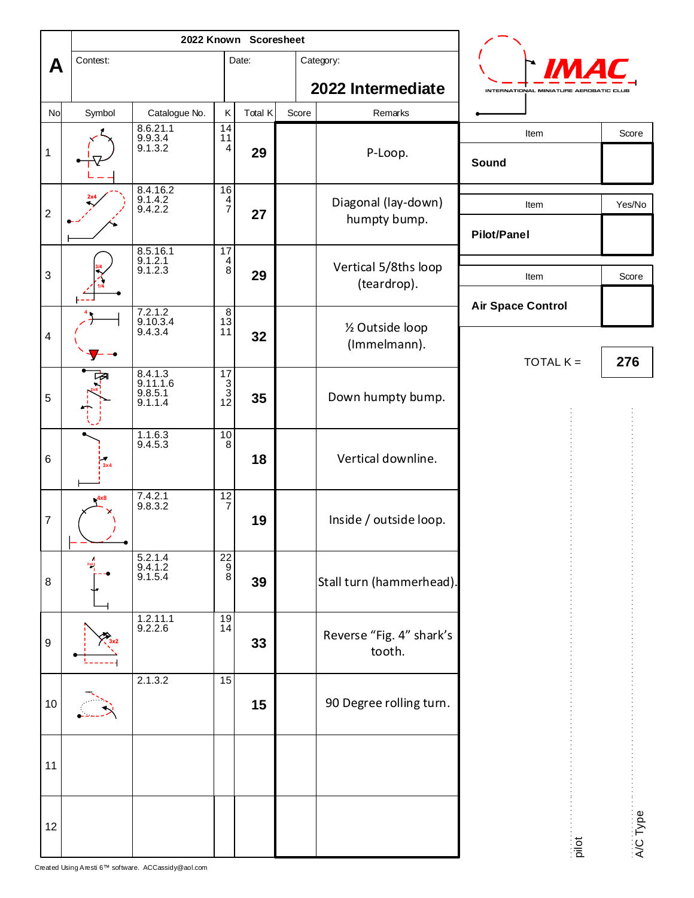|                         |                   | 2022 Known Scoresheet                     |                                                          |         |       |                                     |                                        |          |
|-------------------------|-------------------|-------------------------------------------|----------------------------------------------------------|---------|-------|-------------------------------------|----------------------------------------|----------|
| A                       | Contest:          |                                           |                                                          | Date:   |       | Category:                           |                                        |          |
|                         |                   |                                           |                                                          |         |       | 2022 Intermediate                   | INTERNATIONAL MINIATURE AEROBATIC CLUB |          |
| <b>No</b>               | Symbol            | Catalogue No.                             | Κ                                                        | Total K | Score | Remarks                             |                                        |          |
| $\mathbf 1$             |                   | 8.6.21.1<br>$9.9.3.4$<br>9.1.3.2          | $\frac{14}{11}$<br>4                                     | 29      |       | P-Loop.                             | Item<br>Sound                          | Score    |
| $\overline{c}$          |                   | 8.4.16.2<br>$9.1.4.2$<br>$9.4.2.2$        | $\begin{array}{c}\n16 \\ 4 \\ 7\n\end{array}$            | 27      |       | Diagonal (lay-down)<br>humpty bump. | Item<br><b>Pilot/Panel</b>             | Yes/No   |
| $\sqrt{3}$              |                   | 8.5.16.1<br>9.1.2.1<br>9.1.2.3            | 17<br>$^{\,4}_{\,8}$                                     | 29      |       | Vertical 5/8ths loop<br>(teardrop). | Item                                   | Score    |
| $\overline{\mathbf{4}}$ |                   | 7.2.1.2<br>9.10.3.4<br>9.4.3.4            | $\bf8$<br>$1\overline{3}$<br>11                          | 32      |       | 1/2 Outside loop<br>(Immelmann).    | <b>Air Space Control</b>               |          |
| 5                       |                   | 8.4.1.3<br>9.11.1.6<br>9.8.5.1<br>9.1.1.4 | $\begin{array}{c}\n 17 \\  3 \\  3 \\  12\n \end{array}$ | 35      |       | Down humpty bump.                   | TOTAL $K =$                            | 276      |
| 6                       | $\frac{1}{3}$ x 4 | $1.1.6.3$<br>9.4.5.3                      | $\frac{10}{8}$                                           | 18      |       | Vertical downline.                  |                                        |          |
| $\boldsymbol{7}$        | 4x8               | 7.4.2.1<br>9.8.3.2                        | $\frac{12}{7}$                                           | 19      |       | Inside / outside loop.              |                                        |          |
| 8                       |                   | 5.2.1.4<br>$9.4.1.2$<br>9.1.5.4           | $\begin{bmatrix} 22 \\ 9 \\ 8 \end{bmatrix}$             | 39      |       | Stall turn (hammerhead).            |                                        |          |
| $\boldsymbol{9}$        |                   | 1.2.11.1<br>9.2.2.6                       | 19<br>14                                                 | 33      |       | Reverse "Fig. 4" shark's<br>tooth.  |                                        |          |
| 10                      |                   | 2.1.3.2                                   | 15                                                       | 15      |       | 90 Degree rolling turn.             |                                        |          |
| 11                      |                   |                                           |                                                          |         |       |                                     |                                        |          |
| 12                      |                   |                                           |                                                          |         |       |                                     | pilot                                  | A/C Type |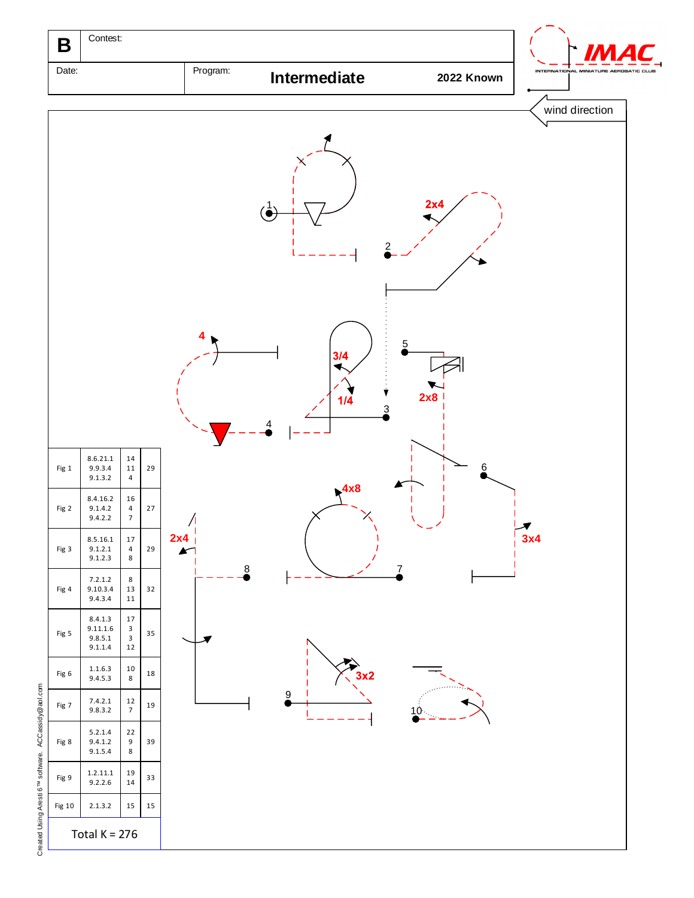

Created Using Aresti 6™ software. ACCassidy Created Using Aresti 6<sup>TM</sup> software. ACCassidy@aol.com